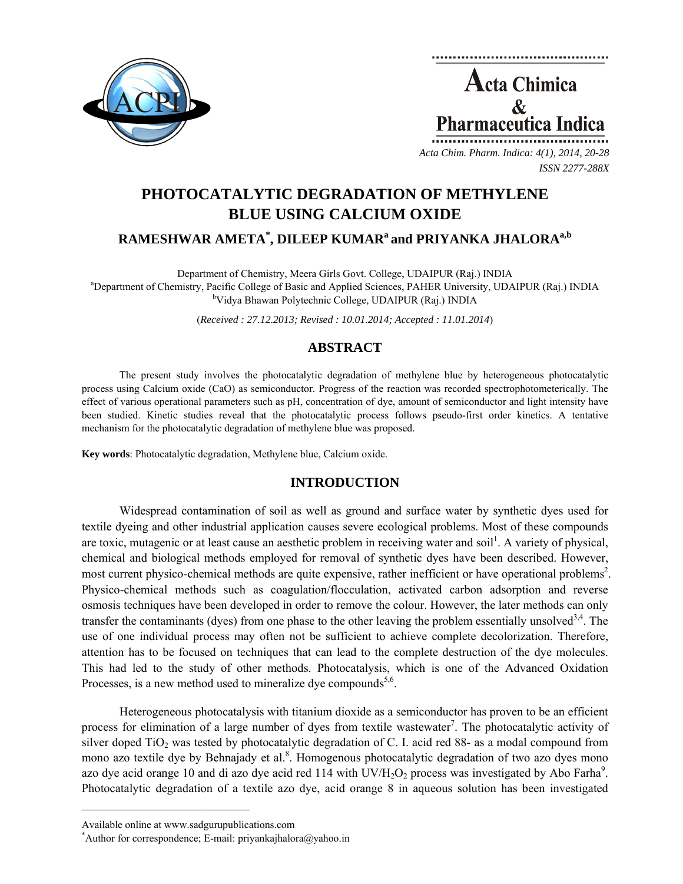

**Acta Chimica**  $\mathcal{R}_{\mathcal{L}}$ Pharmaceutica Indica

*Acta Chim. Pharm. Indica: 4(1), 2014, 20-28 ISSN 2277-288X*

# **PHOTOCATALYTIC DEGRADATION OF METHYLENE BLUE USING CALCIUM OXIDE**

## $\mathbf{RAMESHWAR}\ \mathbf{AMETA}^*,\ \mathbf{DILEEP}\ \mathbf{KUMAR}^{\mathrm{a}}$  and  $\mathbf{PRIYANKA}\ \mathbf{JHALORA}^{\mathrm{a,b}}$

Department of Chemistry, Meera Girls Govt. College, UDAIPUR (Raj.) INDIA <sup>a</sup>Department of Chemistry, Pacific College of Basic and Applied Sciences, PAHER University, UDAIPUR (Raj.) INDIA <sup>b</sup>Vidya Bhawan Polytechnic College, UDAIPUR (Raj.) INDIA

(*Received : 27.12.2013; Revised : 10.01.2014; Accepted : 11.01.2014*)

### **ABSTRACT**

The present study involves the photocatalytic degradation of methylene blue by heterogeneous photocatalytic process using Calcium oxide (CaO) as semiconductor. Progress of the reaction was recorded spectrophotometerically. The effect of various operational parameters such as pH, concentration of dye, amount of semiconductor and light intensity have been studied. Kinetic studies reveal that the photocatalytic process follows pseudo-first order kinetics. A tentative mechanism for the photocatalytic degradation of methylene blue was proposed.

**Key words**: Photocatalytic degradation, Methylene blue, Calcium oxide.

### **INTRODUCTION**

Widespread contamination of soil as well as ground and surface water by synthetic dyes used for textile dyeing and other industrial application causes severe ecological problems. Most of these compounds are toxic, mutagenic or at least cause an aesthetic problem in receiving water and soil<sup>1</sup>. A variety of physical, chemical and biological methods employed for removal of synthetic dyes have been described. However, most current physico-chemical methods are quite expensive, rather inefficient or have operational problems<sup>2</sup>. Physico-chemical methods such as coagulation/flocculation, activated carbon adsorption and reverse osmosis techniques have been developed in order to remove the colour. However, the later methods can only transfer the contaminants (dyes) from one phase to the other leaving the problem essentially unsolved<sup>3,4</sup>. The use of one individual process may often not be sufficient to achieve complete decolorization. Therefore, attention has to be focused on techniques that can lead to the complete destruction of the dye molecules. This had led to the study of other methods. Photocatalysis, which is one of the Advanced Oxidation Processes, is a new method used to mineralize dye compounds<sup>5,6</sup>.

Heterogeneous photocatalysis with titanium dioxide as a semiconductor has proven to be an efficient process for elimination of a large number of dyes from textile wastewater<sup>7</sup>. The photocatalytic activity of silver doped  $TiO<sub>2</sub>$  was tested by photocatalytic degradation of C. I. acid red 88- as a modal compound from mono azo textile dye by Behnajady et al.<sup>8</sup>. Homogenous photocatalytic degradation of two azo dyes mono azo dye acid orange 10 and di azo dye acid red 114 with  $UV/H_2O_2$  process was investigated by Abo Farha<sup>9</sup>. Photocatalytic degradation of a textile azo dye, acid orange 8 in aqueous solution has been investigated

**\_\_\_\_\_\_\_\_\_\_\_\_\_\_\_\_\_\_\_\_\_\_\_\_\_\_\_\_\_\_\_\_\_\_\_\_\_\_\_\_**

Available online at www.sadgurupublications.com \*

Author for correspondence; E-mail: priyankajhalora@yahoo.in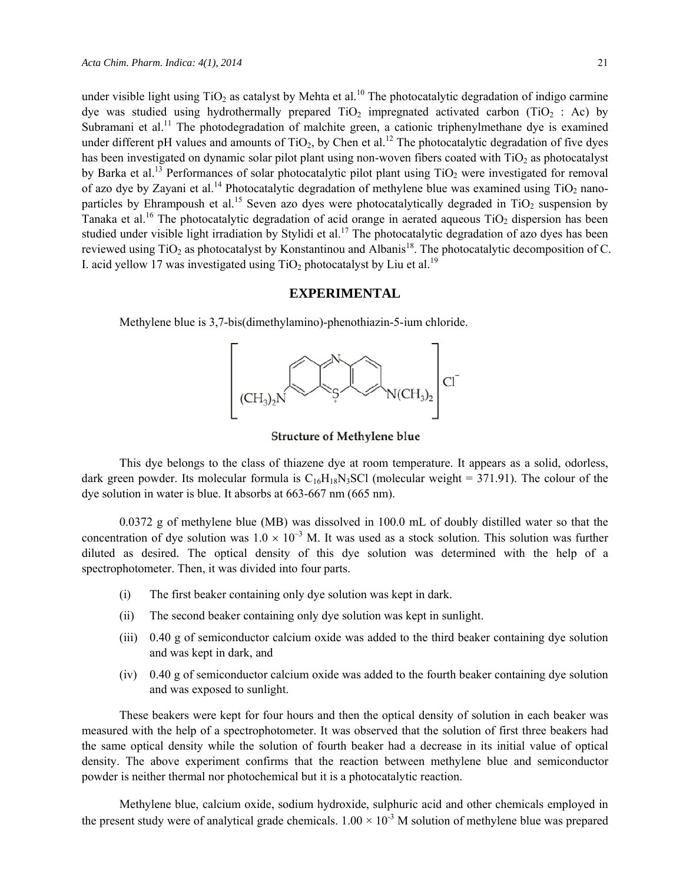under visible light using TiO<sub>2</sub> as catalyst by Mehta et al.<sup>10</sup> The photocatalytic degradation of indigo carmine dye was studied using hydrothermally prepared TiO<sub>2</sub> impregnated activated carbon (TiO<sub>2</sub> : Ac) by Subramani et al.<sup>11</sup> The photodegradation of malchite green, a cationic triphenylmethane dye is examined under different pH values and amounts of  $TiO<sub>2</sub>$ , by Chen et al.<sup>12</sup> The photocatalytic degradation of five dyes has been investigated on dynamic solar pilot plant using non-woven fibers coated with  $TiO<sub>2</sub>$  as photocatalyst by Barka et al.<sup>13</sup> Performances of solar photocatalytic pilot plant using TiO<sub>2</sub> were investigated for removal of azo dye by Zayani et al.<sup>14</sup> Photocatalytic degradation of methylene blue was examined using  $TiO<sub>2</sub>$  nanoparticles by Ehrampoush et al.<sup>15</sup> Seven azo dyes were photocatalytically degraded in TiO<sub>2</sub> suspension by Tanaka et al.<sup>16</sup> The photocatalytic degradation of acid orange in aerated aqueous  $TiO<sub>2</sub>$  dispersion has been studied under visible light irradiation by Stylidi et al.<sup>17</sup> The photocatalytic degradation of azo dyes has been reviewed using TiO<sub>2</sub> as photocatalyst by Konstantinou and Albanis<sup>18</sup>. The photocatalytic decomposition of C. I. acid yellow 17 was investigated using  $TiO<sub>2</sub>$  photocatalyst by Liu et al.<sup>19</sup>

#### **EXPERIMENTAL**

Methylene blue is 3,7-bis(dimethylamino)-phenothiazin-5-ium chloride.



Structure of Methylene blue

This dye belongs to the class of thiazene dye at room temperature. It appears as a solid, odorless, dark green powder. Its molecular formula is  $C_{16}H_{18}N_3SCl$  (molecular weight = 371.91). The colour of the dye solution in water is blue. It absorbs at 663-667 nm (665 nm).

0.0372 g of methylene blue (MB) was dissolved in 100.0 mL of doubly distilled water so that the concentration of dye solution was  $1.0 \times 10^{-3}$  M. It was used as a stock solution. This solution was further diluted as desired. The optical density of this dye solution was determined with the help of a spectrophotometer. Then, it was divided into four parts.

- (i) The first beaker containing only dye solution was kept in dark.
- (ii) The second beaker containing only dye solution was kept in sunlight.
- (iii) 0.40 g of semiconductor calcium oxide was added to the third beaker containing dye solution and was kept in dark, and
- (iv) 0.40 g of semiconductor calcium oxide was added to the fourth beaker containing dye solution and was exposed to sunlight.

These beakers were kept for four hours and then the optical density of solution in each beaker was measured with the help of a spectrophotometer. It was observed that the solution of first three beakers had the same optical density while the solution of fourth beaker had a decrease in its initial value of optical density. The above experiment confirms that the reaction between methylene blue and semiconductor powder is neither thermal nor photochemical but it is a photocatalytic reaction.

Methylene blue, calcium oxide, sodium hydroxide, sulphuric acid and other chemicals employed in the present study were of analytical grade chemicals.  $1.00 \times 10^{-3}$  M solution of methylene blue was prepared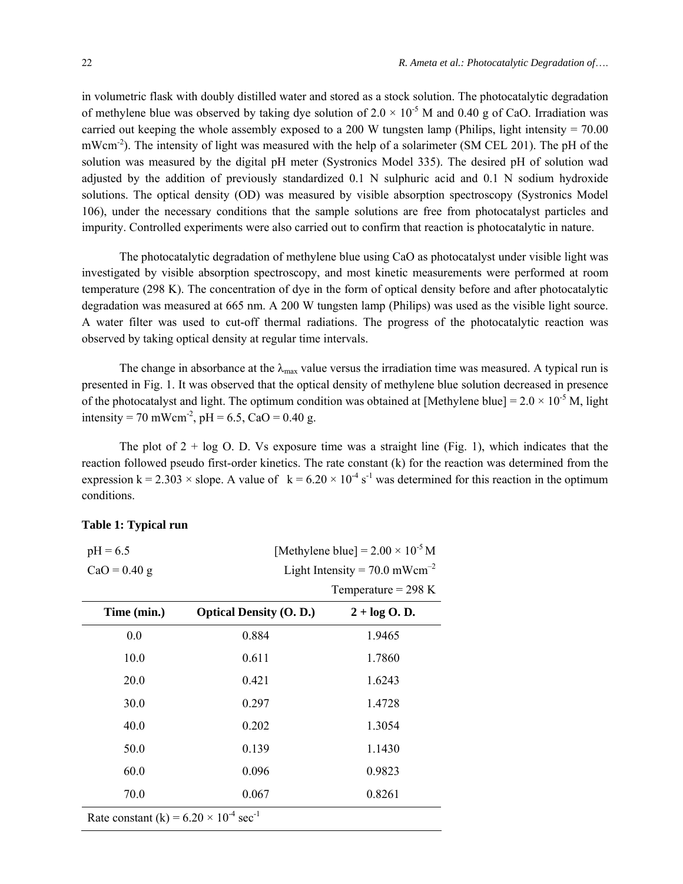in volumetric flask with doubly distilled water and stored as a stock solution. The photocatalytic degradation of methylene blue was observed by taking dye solution of  $2.0 \times 10^{-5}$  M and 0.40 g of CaO. Irradiation was carried out keeping the whole assembly exposed to a 200 W tungsten lamp (Philips, light intensity =  $70.00$ ) mWcm<sup>-2</sup>). The intensity of light was measured with the help of a solarimeter (SM CEL 201). The pH of the solution was measured by the digital pH meter (Systronics Model 335). The desired pH of solution wad adjusted by the addition of previously standardized 0.1 N sulphuric acid and 0.1 N sodium hydroxide solutions. The optical density (OD) was measured by visible absorption spectroscopy (Systronics Model 106), under the necessary conditions that the sample solutions are free from photocatalyst particles and impurity. Controlled experiments were also carried out to confirm that reaction is photocatalytic in nature.

The photocatalytic degradation of methylene blue using CaO as photocatalyst under visible light was investigated by visible absorption spectroscopy, and most kinetic measurements were performed at room temperature (298 K). The concentration of dye in the form of optical density before and after photocatalytic degradation was measured at 665 nm. A 200 W tungsten lamp (Philips) was used as the visible light source. A water filter was used to cut-off thermal radiations. The progress of the photocatalytic reaction was observed by taking optical density at regular time intervals.

The change in absorbance at the  $\lambda_{\text{max}}$  value versus the irradiation time was measured. A typical run is presented in Fig. 1. It was observed that the optical density of methylene blue solution decreased in presence of the photocatalyst and light. The optimum condition was obtained at [Methylene blue] =  $2.0 \times 10^{-5}$  M, light intensity = 70 mWcm<sup>-2</sup>, pH = 6.5, CaO = 0.40 g.

The plot of  $2 + \log O$ . D. Vs exposure time was a straight line (Fig. 1), which indicates that the reaction followed pseudo first-order kinetics. The rate constant (k) for the reaction was determined from the expression k = 2.303  $\times$  slope. A value of k = 6.20  $\times$  10<sup>-4</sup> s<sup>-1</sup> was determined for this reaction in the optimum conditions.

| $pH = 6.5$<br>$CaO = 0.40$ g                                  | [Methylene blue] = $2.00 \times 10^{-5}$ M<br>Light Intensity = $70.0$ mWcm <sup>-2</sup><br>Temperature = $298 K$ |                   |
|---------------------------------------------------------------|--------------------------------------------------------------------------------------------------------------------|-------------------|
| Time (min.)                                                   | <b>Optical Density (O. D.)</b>                                                                                     | $2 + \log O$ . D. |
| 0.0                                                           | 0.884                                                                                                              | 1.9465            |
| 10.0                                                          | 0.611                                                                                                              | 1.7860            |
| 20.0                                                          | 0.421                                                                                                              | 1.6243            |
| 30.0                                                          | 0.297                                                                                                              | 1.4728            |
| 40.0                                                          | 0.202                                                                                                              | 1.3054            |
| 50.0                                                          | 0.139                                                                                                              | 1.1430            |
| 60.0                                                          | 0.096                                                                                                              | 0.9823            |
| 70.0                                                          | 0.067                                                                                                              | 0.8261            |
| Data constant $(l_2) = 6.20 \times 10^{-4}$ son <sup>-1</sup> |                                                                                                                    |                   |

#### **Table 1: Typical run**

Rate constant  $(k) = 6.20 \times 10^{-4}$  sec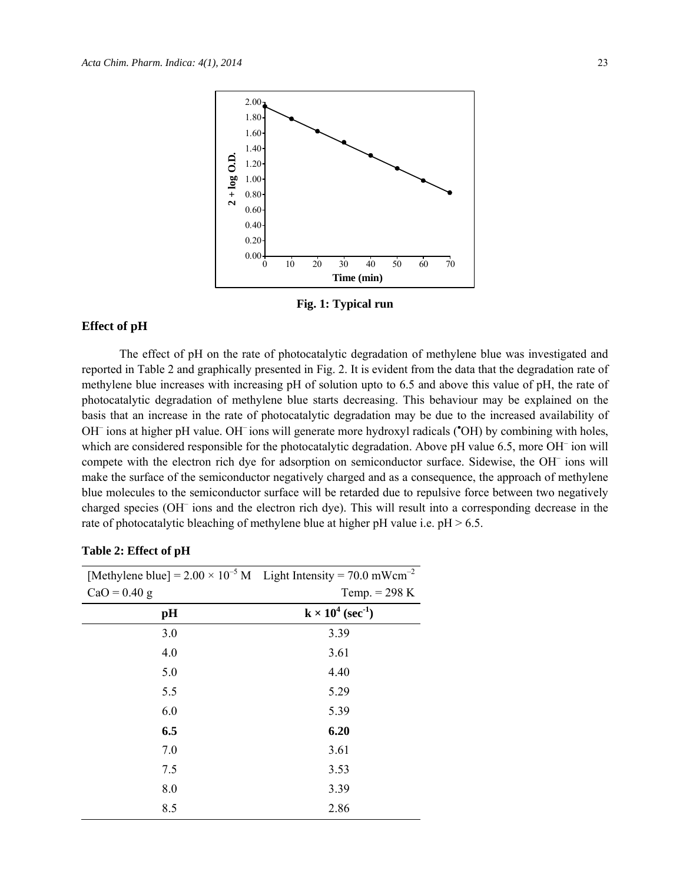

**Fig. 1: Typical run** 

### **Effect of pH**

The effect of pH on the rate of photocatalytic degradation of methylene blue was investigated and reported in Table 2 and graphically presented in Fig. 2. It is evident from the data that the degradation rate of methylene blue increases with increasing pH of solution upto to 6.5 and above this value of pH, the rate of photocatalytic degradation of methylene blue starts decreasing. This behaviour may be explained on the basis that an increase in the rate of photocatalytic degradation may be due to the increased availability of OH<sup>-</sup> ions at higher pH value. OH<sup>-</sup> ions will generate more hydroxyl radicals ('OH) by combining with holes, which are considered responsible for the photocatalytic degradation. Above pH value 6.5, more OH<sup>-</sup> ion will compete with the electron rich dye for adsorption on semiconductor surface. Sidewise, the OH<sup>-</sup> ions will make the surface of the semiconductor negatively charged and as a consequence, the approach of methylene blue molecules to the semiconductor surface will be retarded due to repulsive force between two negatively charged species (OH<sup>-</sup> ions and the electron rich dye). This will result into a corresponding decrease in the rate of photocatalytic bleaching of methylene blue at higher pH value i.e.  $pH > 6.5$ .

| [Methylene blue] = $2.00 \times 10^{-5}$ M Light Intensity = 70.0 mWcm <sup>-2</sup> |                                      |
|--------------------------------------------------------------------------------------|--------------------------------------|
| $CaO = 0.40$ g                                                                       | Temp. $= 298$ K                      |
| pH                                                                                   | $k \times 10^4$ (sec <sup>-1</sup> ) |
| 3.0                                                                                  | 3.39                                 |
| 4.0                                                                                  | 3.61                                 |
| 5.0                                                                                  | 4.40                                 |
| 5.5                                                                                  | 5.29                                 |
| 6.0                                                                                  | 5.39                                 |
| 6.5                                                                                  | 6.20                                 |
| 7.0                                                                                  | 3.61                                 |
| 7.5                                                                                  | 3.53                                 |
| 8.0                                                                                  | 3.39                                 |
| 8.5                                                                                  | 2.86                                 |

#### **Table 2: Effect of pH**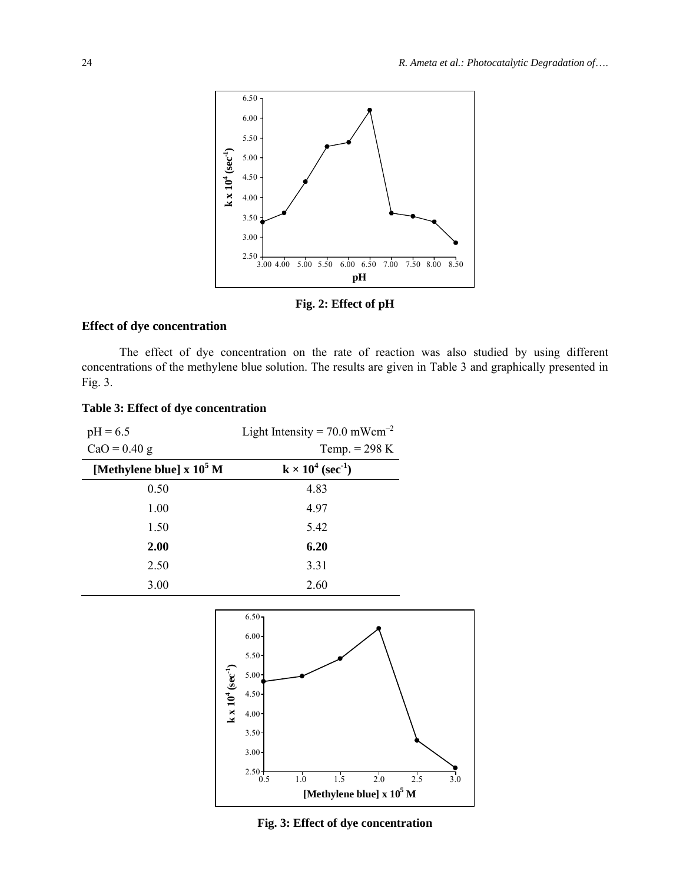

**Fig. 2: Effect of pH** 

#### **Effect of dye concentration**

The effect of dye concentration on the rate of reaction was also studied by using different concentrations of the methylene blue solution. The results are given in Table 3 and graphically presented in Fig. 3.

#### **Table 3: Effect of dye concentration**

| $pH = 6.5$                      | Light Intensity = $70.0$ mWcm <sup>-2</sup> |
|---------------------------------|---------------------------------------------|
| $CaO = 0.40$ g                  | Temp. $= 298 K$                             |
| [Methylene blue] $\rm x~10^5~M$ | $k \times 10^4$ (sec <sup>-1</sup> )        |
| 0.50                            | 4.83                                        |
| 1.00                            | 4.97                                        |
| 1.50                            | 5.42                                        |
| 2.00                            | 6.20                                        |
| 2.50                            | 3.31                                        |
| 3.00                            | 2.60                                        |



**Fig. 3: Effect of dye concentration**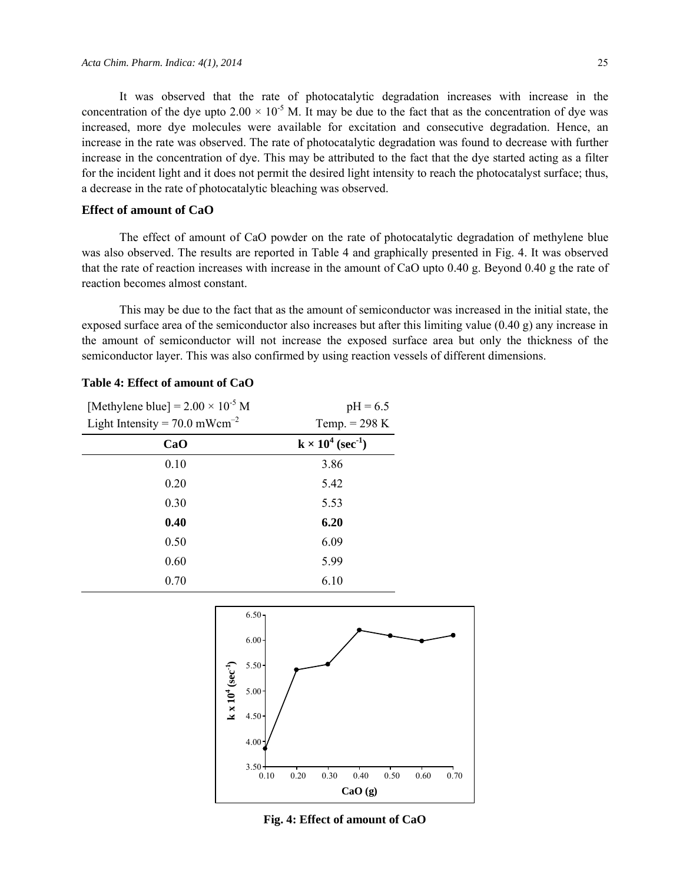It was observed that the rate of photocatalytic degradation increases with increase in the concentration of the dye upto  $2.00 \times 10^{-5}$  M. It may be due to the fact that as the concentration of dye was increased, more dye molecules were available for excitation and consecutive degradation. Hence, an increase in the rate was observed. The rate of photocatalytic degradation was found to decrease with further increase in the concentration of dye. This may be attributed to the fact that the dye started acting as a filter for the incident light and it does not permit the desired light intensity to reach the photocatalyst surface; thus, a decrease in the rate of photocatalytic bleaching was observed.

#### **Effect of amount of CaO**

The effect of amount of CaO powder on the rate of photocatalytic degradation of methylene blue was also observed. The results are reported in Table 4 and graphically presented in Fig. 4. It was observed that the rate of reaction increases with increase in the amount of CaO upto 0.40 g. Beyond 0.40 g the rate of reaction becomes almost constant.

This may be due to the fact that as the amount of semiconductor was increased in the initial state, the exposed surface area of the semiconductor also increases but after this limiting value (0.40 g) any increase in the amount of semiconductor will not increase the exposed surface area but only the thickness of the semiconductor layer. This was also confirmed by using reaction vessels of different dimensions.

| [Methylene blue] = $2.00 \times 10^{-5}$ M  | $pH = 6.5$                           |
|---------------------------------------------|--------------------------------------|
| Light Intensity = $70.0$ mWcm <sup>-2</sup> | Temp. $= 298$ K                      |
| CaO                                         | $k \times 10^4$ (sec <sup>-1</sup> ) |
| 0.10                                        | 3.86                                 |
| 0.20                                        | 5.42                                 |
| 0.30                                        | 5.53                                 |
| 0.40                                        | 6.20                                 |
| 0.50                                        | 6.09                                 |
| 0.60                                        | 5.99                                 |
| 0.70                                        | 6.10                                 |

#### **Table 4: Effect of amount of CaO**



**Fig. 4: Effect of amount of CaO**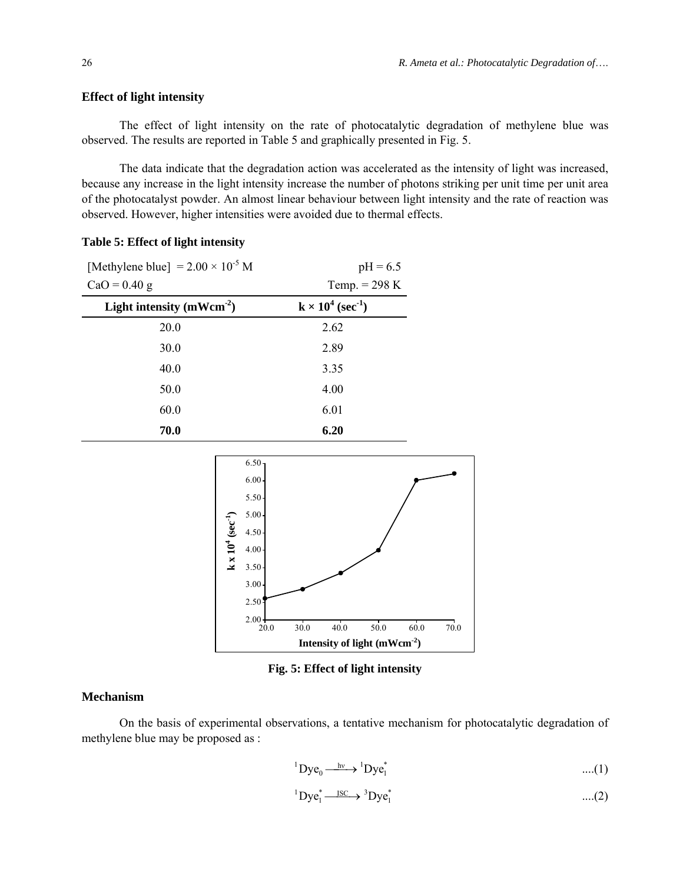#### **Effect of light intensity**

The effect of light intensity on the rate of photocatalytic degradation of methylene blue was observed. The results are reported in Table 5 and graphically presented in Fig. 5.

The data indicate that the degradation action was accelerated as the intensity of light was increased, because any increase in the light intensity increase the number of photons striking per unit time per unit area of the photocatalyst powder. An almost linear behaviour between light intensity and the rate of reaction was observed. However, higher intensities were avoided due to thermal effects.

| [Methylene blue] = $2.00 \times 10^{-5}$ M | $pH = 6.5$                           |
|--------------------------------------------|--------------------------------------|
| $CaO = 0.40$ g                             | Temp. $= 298$ K                      |
| Light intensity $(mWcm^{-2})$              | $k \times 10^4$ (sec <sup>-1</sup> ) |
| 20.0                                       | 2.62                                 |
| 30.0                                       | 2.89                                 |
| 40.0                                       | 3.35                                 |
| 50.0                                       | 4.00                                 |
| 60.0                                       | 6.01                                 |
| 70.0                                       | 6.20                                 |

#### **Table 5: Effect of light intensity**



**Fig. 5: Effect of light intensity** 

#### **Mechanism**

On the basis of experimental observations, a tentative mechanism for photocatalytic degradation of methylene blue may be proposed as :

$$
{}^{1}Dye_{0} \xrightarrow{\quad hv} {}^{1}Dye_{1}^{*} \qquad \qquad \dots (1)
$$

$$
{}^{1}Dye_{1}^{*}\longrightarrow {}^{3}Dye_{1}^{*}\qquad \qquad \ldots (2)
$$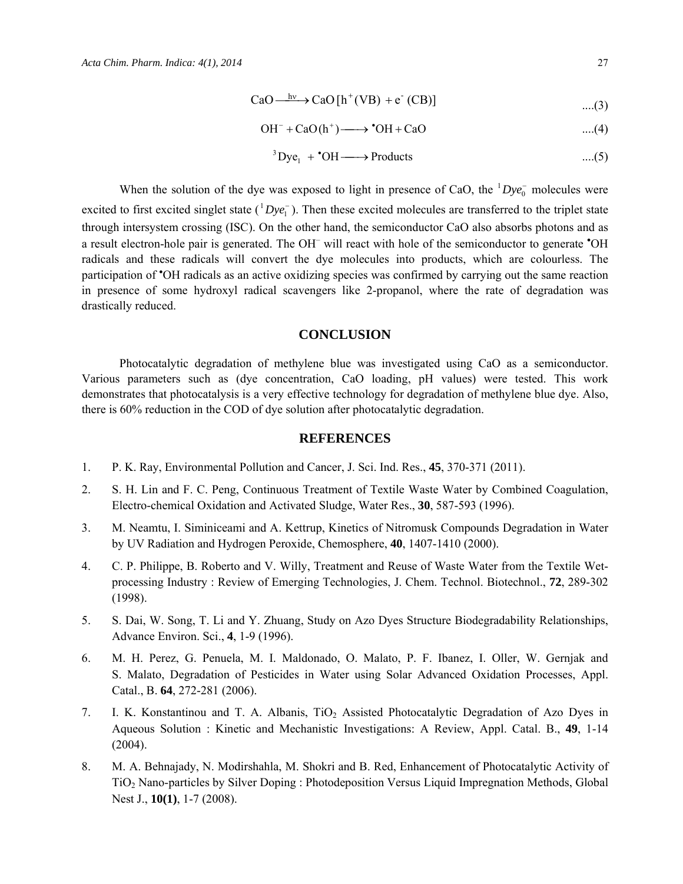$$
CaO \xrightarrow{hv} CaO[h^+(VB) + e^-(CB)] \qquad \qquad \dots (3)
$$

$$
OH^- + CaO(h^+) \longrightarrow {}^{\bullet}OH + CaO \qquad \qquad \dots (4)
$$

$$
{}^{3}\text{Dye}_{1} + {}^{6}\text{OH} \longrightarrow \text{Products} \qquad \qquad \dots (5)
$$

When the solution of the dye was exposed to light in presence of CaO, the  $Dye_0^-$  molecules were excited to first excited singlet state  $(^1Dye_1^-)$ . Then these excited molecules are transferred to the triplet state through intersystem crossing (ISC). On the other hand, the semiconductor CaO also absorbs photons and as a result electron-hole pair is generated. The OH<sup>-</sup> will react with hole of the semiconductor to generate 'OH radicals and these radicals will convert the dye molecules into products, which are colourless. The participation of <sup>\*</sup>OH radicals as an active oxidizing species was confirmed by carrying out the same reaction in presence of some hydroxyl radical scavengers like 2-propanol, where the rate of degradation was drastically reduced.

#### **CONCLUSION**

Photocatalytic degradation of methylene blue was investigated using CaO as a semiconductor. Various parameters such as (dye concentration, CaO loading, pH values) were tested. This work demonstrates that photocatalysis is a very effective technology for degradation of methylene blue dye. Also, there is 60% reduction in the COD of dye solution after photocatalytic degradation.

#### **REFERENCES**

- 1. P. K. Ray, Environmental Pollution and Cancer, J. Sci. Ind. Res., **45**, 370-371 (2011).
- 2. S. H. Lin and F. C. Peng, Continuous Treatment of Textile Waste Water by Combined Coagulation, Electro-chemical Oxidation and Activated Sludge, Water Res., **30**, 587-593 (1996).
- 3. M. Neamtu, I. Siminiceami and A. Kettrup, Kinetics of Nitromusk Compounds Degradation in Water by UV Radiation and Hydrogen Peroxide, Chemosphere, **40**, 1407-1410 (2000).
- 4. C. P. Philippe, B. Roberto and V. Willy, Treatment and Reuse of Waste Water from the Textile Wetprocessing Industry : Review of Emerging Technologies, J. Chem. Technol. Biotechnol., **72**, 289-302 (1998).
- 5. S. Dai, W. Song, T. Li and Y. Zhuang, Study on Azo Dyes Structure Biodegradability Relationships, Advance Environ. Sci., **4**, 1-9 (1996).
- 6. M. H. Perez, G. Penuela, M. I. Maldonado, O. Malato, P. F. Ibanez, I. Oller, W. Gernjak and S. Malato, Degradation of Pesticides in Water using Solar Advanced Oxidation Processes, Appl. Catal., B. **64**, 272-281 (2006).
- 7. I. K. Konstantinou and T. A. Albanis, TiO<sub>2</sub> Assisted Photocatalytic Degradation of Azo Dyes in Aqueous Solution : Kinetic and Mechanistic Investigations: A Review, Appl. Catal. B., **49**, 1-14 (2004).
- 8. M. A. Behnajady, N. Modirshahla, M. Shokri and B. Red, Enhancement of Photocatalytic Activity of TiO2 Nano-particles by Silver Doping : Photodeposition Versus Liquid Impregnation Methods, Global Nest J., **10(1)**, 1-7 (2008).